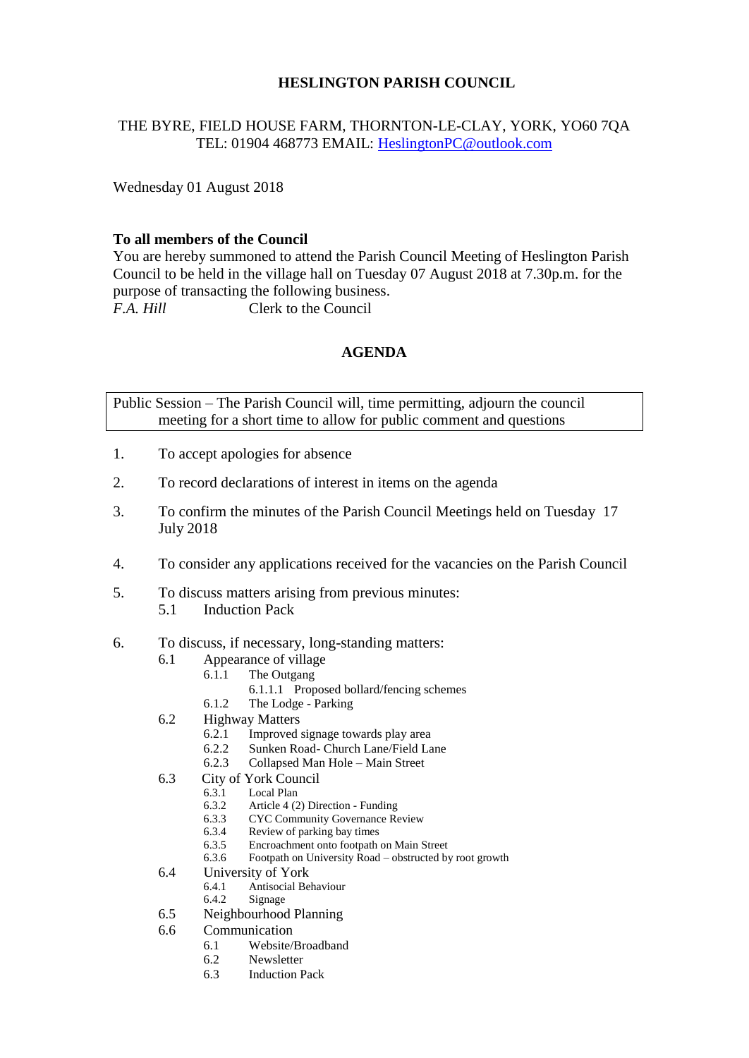## **HESLINGTON PARISH COUNCIL**

# THE BYRE, FIELD HOUSE FARM, THORNTON-LE-CLAY, YORK, YO60 7QA TEL: 01904 468773 EMAIL: [HeslingtonPC@outlook.com](mailto:HeslingtonPC@outlook.com)

Wednesday 01 August 2018

#### **To all members of the Council**

You are hereby summoned to attend the Parish Council Meeting of Heslington Parish Council to be held in the village hall on Tuesday 07 August 2018 at 7.30p.m. for the purpose of transacting the following business. *F.A. Hill* Clerk to the Council

## **AGENDA**

Public Session – The Parish Council will, time permitting, adjourn the council meeting for a short time to allow for public comment and questions

- 1. To accept apologies for absence
- 2. To record declarations of interest in items on the agenda
- 3. To confirm the minutes of the Parish Council Meetings held on Tuesday 17 July 2018
- 4. To consider any applications received for the vacancies on the Parish Council
- 5. To discuss matters arising from previous minutes: 5.1 Induction Pack
- 6. To discuss, if necessary, long-standing matters:
	- 6.1 Appearance of village
		- 6.1.1 The Outgang
			- 6.1.1.1 Proposed bollard/fencing schemes
		- 6.1.2 The Lodge Parking
	- 6.2 Highway Matters<br>6.2.1 Improved
		- 6.2.1 Improved signage towards play area<br>6.2.2 Sunken Road- Church Lane/Field La
		- Sunken Road- Church Lane/Field Lane
		- 6.2.3 Collapsed Man Hole Main Street
	- 6.3 City of York Council
		- 6.3.1 Local Plan
		- 6.3.2 Article 4 (2) Direction Funding
		- 6.3.3 CYC Community Governance Review
		- 6.3.4 Review of parking bay times
		- 6.3.5 Encroachment onto footpath on Main Street
		- 6.3.6 Footpath on University Road obstructed by root growth
	- 6.4 University of York
		- 6.4.1 Antisocial Behaviour
		- 6.4.2 Signage
	- 6.5 Neighbourhood Planning
	- 6.6 Communication
		- 6.1 Website/Broadband
		- 6.2 Newsletter
		- 6.3 Induction Pack